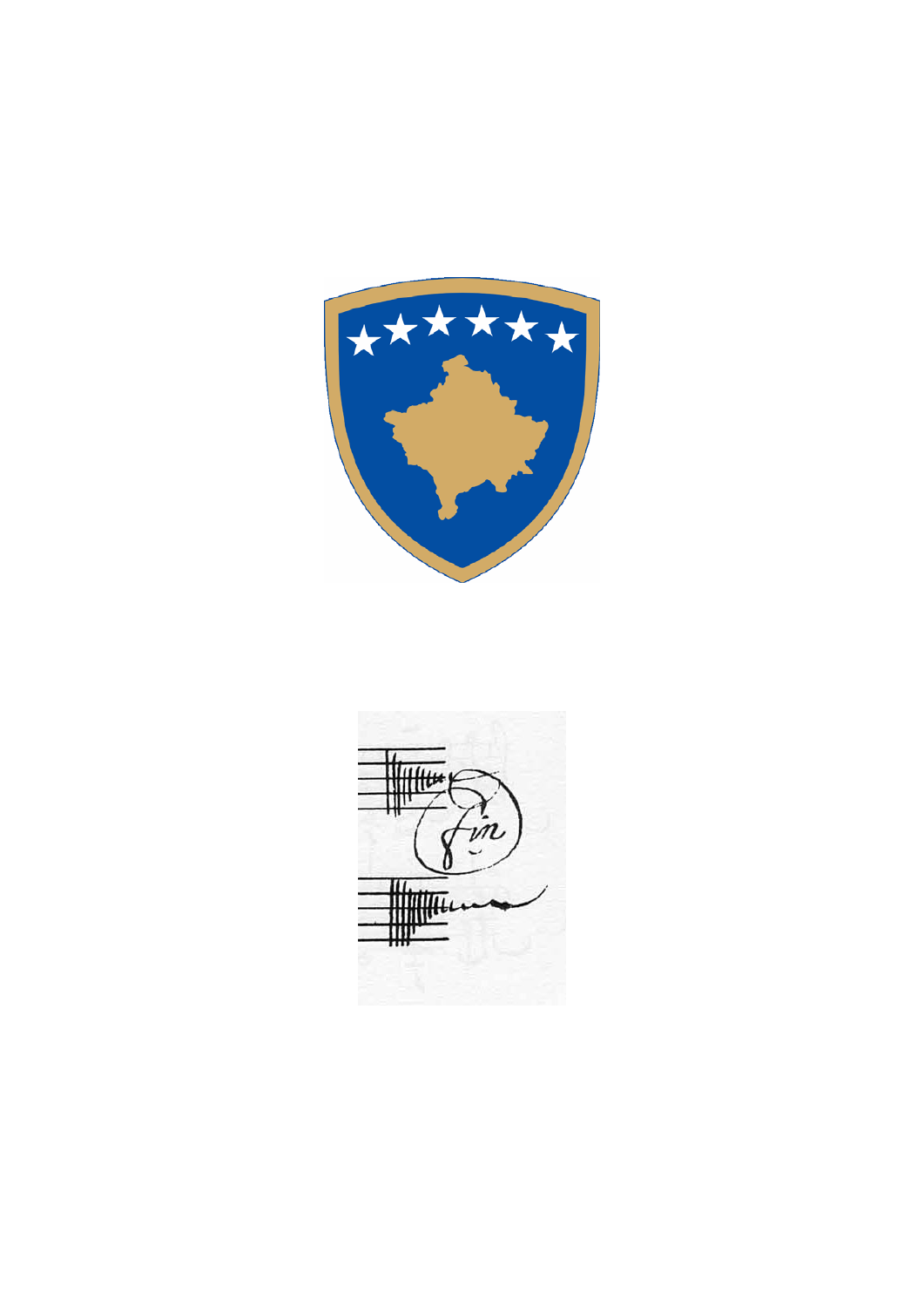

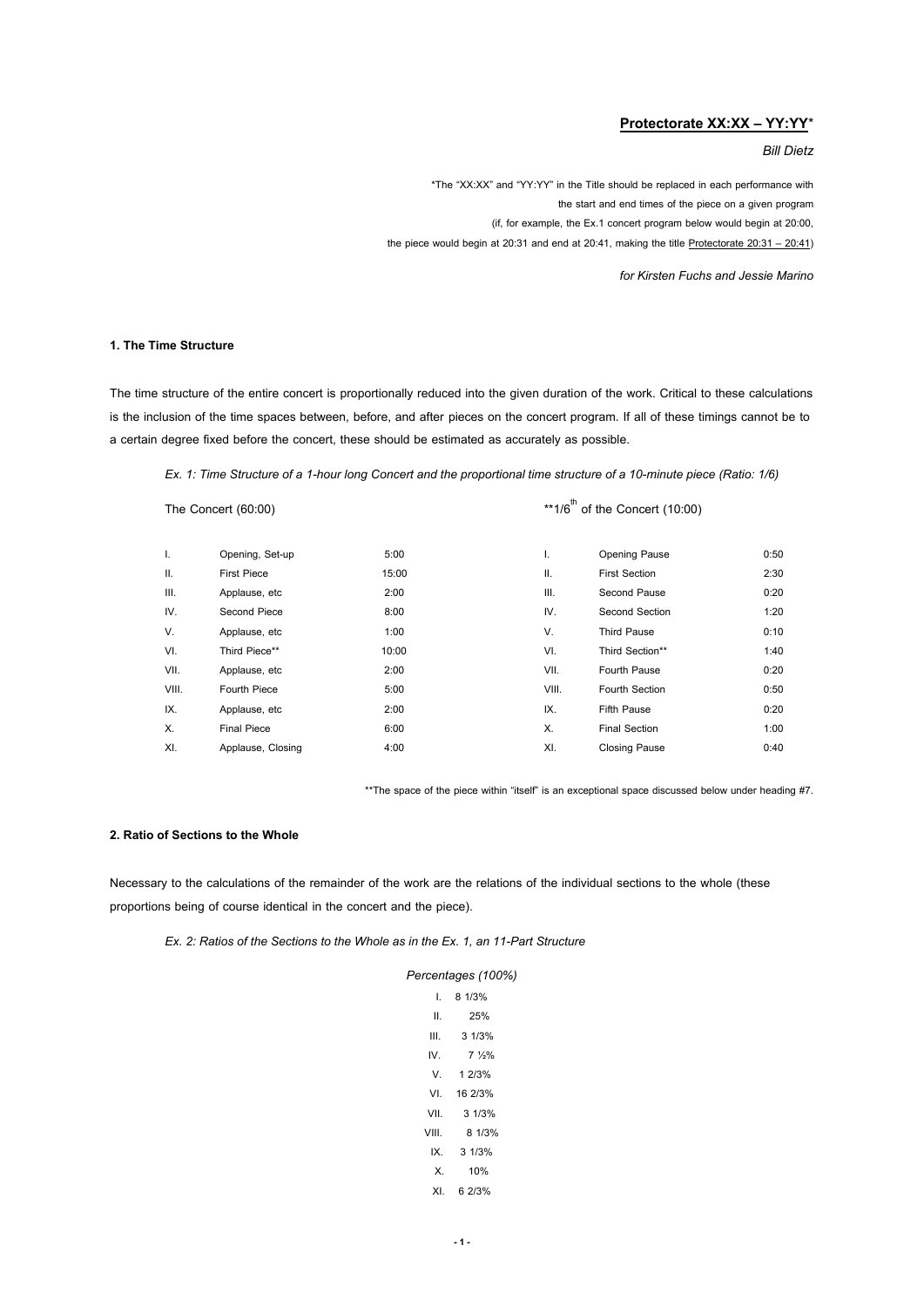# **Protectorate XX:XX – YY:YY**\*

*Bill Dietz* 

\*The "XX:XX" and "YY:YY" in the Title should be replaced in each performance with the start and end times of the piece on a given program (if, for example, the Ex.1 concert program below would begin at 20:00, the piece would begin at 20:31 and end at 20:41, making the title Protectorate 20:31 - 20:41)

*for Kirsten Fuchs and Jessie Marino* 

### **1. The Time Structure**

The time structure of the entire concert is proportionally reduced into the given duration of the work. Critical to these calculations is the inclusion of the time spaces between, before, and after pieces on the concert program. If all of these timings cannot be to a certain degree fixed before the concert, these should be estimated as accurately as possible.

*Ex. 1: Time Structure of a 1-hour long Concert and the proportional time structure of a 10-minute piece (Ratio: 1/6)*

 $\mathsf{The \; Concert \;}(60:00)$   $\qquad \qquad \bullet$ 

|  | $1/6$ <sup>m</sup> of the Concert (10:00) |  |
|--|-------------------------------------------|--|
|  |                                           |  |

| I.    | Opening, Set-up    | 5:00  | ı.    | Opening Pause        | 0:50 |
|-------|--------------------|-------|-------|----------------------|------|
| ΙΙ.   | <b>First Piece</b> | 15:00 | Ш.    | <b>First Section</b> | 2:30 |
| III.  | Applause, etc      | 2:00  | III.  | Second Pause         | 0:20 |
| IV.   | Second Piece       | 8:00  | IV.   | Second Section       | 1:20 |
| V.    | Applause, etc      | 1:00  | V.    | <b>Third Pause</b>   | 0:10 |
| VI.   | Third Piece**      | 10:00 | VI.   | Third Section**      | 1:40 |
| VII.  | Applause, etc      | 2:00  | VII.  | <b>Fourth Pause</b>  | 0:20 |
| VIII. | Fourth Piece       | 5:00  | VIII. | Fourth Section       | 0:50 |
| IX.   | Applause, etc      | 2:00  | IX.   | <b>Fifth Pause</b>   | 0:20 |
| Χ.    | <b>Final Piece</b> | 6:00  | Χ.    | <b>Final Section</b> | 1:00 |
| XI.   | Applause, Closing  | 4:00  | XI.   | <b>Closing Pause</b> | 0:40 |
|       |                    |       |       |                      |      |

\*\* The space of the piece within "itself" is an exceptional space discussed below under heading #7.

### **2. Ratio of Sections to the Whole**

Necessary to the calculations of the remainder of the work are the relations of the individual sections to the whole (these proportions being of course identical in the concert and the piece).

*Ex. 2: Ratios of the Sections to the Whole as in the Ex. 1, an 11-Part Structure*

|       | Percentages (100%)   |
|-------|----------------------|
|       | $1 \quad 81/3\%$     |
| ΙΙ.   | 25%                  |
|       | $III.$ 3 1/3%        |
|       | $IV. 7\frac{1}{2}\%$ |
|       | $V = 1.2/3%$         |
|       | VI. 16 2/3%          |
|       | VII. 3 1/3%          |
| VIII. | 8 1/3%               |
|       | IX. 31/3%            |
| X.    | 10%                  |
|       | $X1 \quad 6.2/3\%$   |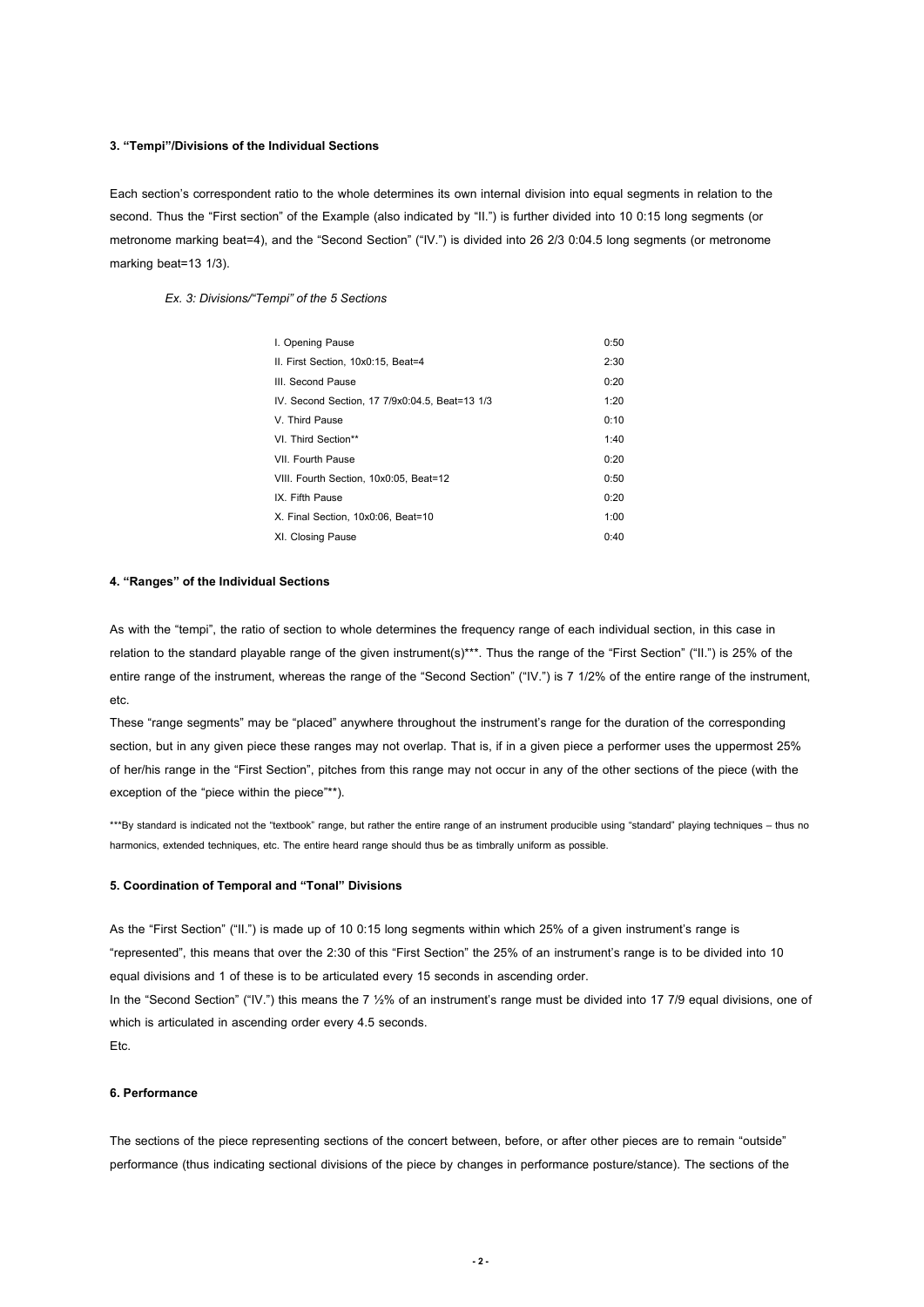### **3. "Tempi"/Divisions of the Individual Sections**

Each section's correspondent ratio to the whole determines its own internal division into equal segments in relation to the second. Thus the "First section" of the Example (also indicated by "II.") is further divided into 10 0:15 long segments (or metronome marking beat=4), and the "Second Section" ("IV.") is divided into 26 2/3 0:04.5 long segments (or metronome marking beat=13 1/3).

## *Ex. 3: Divisions/"Tempi" of the 5 Sections*

| I. Opening Pause                               | 0:50 |
|------------------------------------------------|------|
| II. First Section, 10x0:15. Beat=4             | 2:30 |
| III. Second Pause                              | 0:20 |
| IV. Second Section, 17 7/9x0:04.5, Beat=13 1/3 | 1:20 |
| V. Third Pause                                 | 0:10 |
| VI. Third Section**                            | 1:40 |
| VII. Fourth Pause                              | 0:20 |
| VIII. Fourth Section, 10x0:05, Beat=12         | 0:50 |
| IX. Fifth Pause                                | 0:20 |
| X. Final Section, 10x0:06, Beat=10             | 1:00 |
| XI. Closing Pause                              | 0:40 |

### **4. "Ranges" of the Individual Sections**

As with the "tempi", the ratio of section to whole determines the frequency range of each individual section, in this case in relation to the standard playable range of the given instrument(s)\*\*\*. Thus the range of the "First Section" ("II.") is 25% of the entire range of the instrument, whereas the range of the "Second Section" ("IV.") is 7 1/2% of the entire range of the instrument, etc.

These "range segments" may be "placed" anywhere throughout the instrument's range for the duration of the corresponding section, but in any given piece these ranges may not overlap. That is, if in a given piece a performer uses the uppermost 25% of her/his range in the "First Section", pitches from this range may not occur in any of the other sections of the piece (with the exception of the "piece within the piece"\*\*).

\*\*\*By standard is indicated not the "textbook" range, but rather the entire range of an instrument producible using "standard" playing techniques - thus no harmonics, extended techniques, etc. The entire heard range should thus be as timbrally uniform as possible.

#### **5. Coordination of Temporal and "Tonal" Divisions**

As the "First Section" ("II.") is made up of 10 0:15 long segments within which 25% of a given instrument's range is "represented", this means that over the 2:30 of this "First Section" the 25% of an instrument's range is to be divided into 10 equal divisions and 1 of these is to be articulated every 15 seconds in ascending order. In the "Second Section" ("IV.") this means the 7 1/2% of an instrument's range must be divided into 17 7/9 equal divisions, one of which is articulated in ascending order every 4.5 seconds. Etc.

### **6. Performance**

The sections of the piece representing sections of the concert between, before, or after other pieces are to remain "outside" performance (thus indicating sectional divisions of the piece by changes in performance posture/stance). The sections of the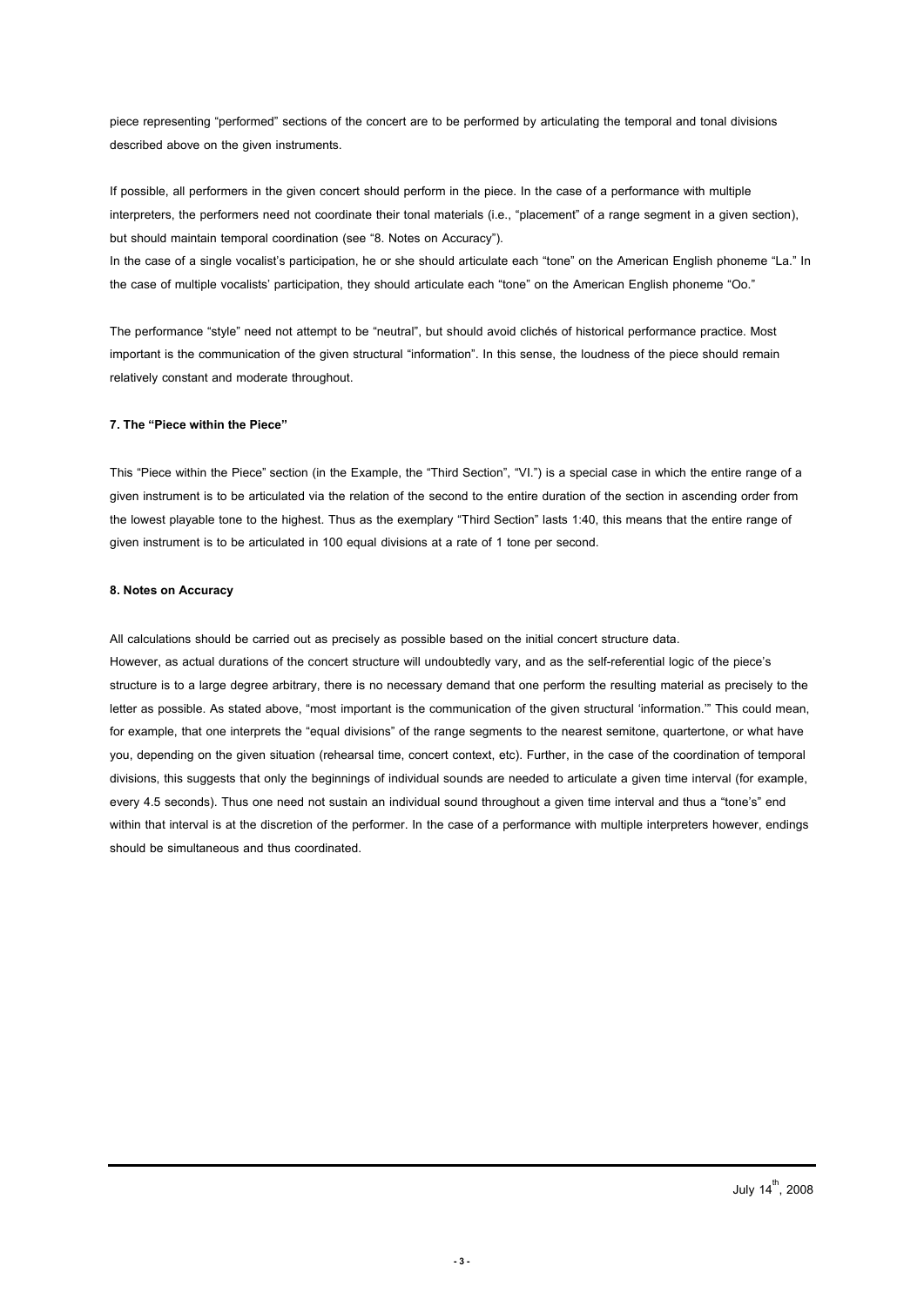piece representing "performed" sections of the concert are to be performed by articulating the temporal and tonal divisions described above on the given instruments.

If possible, all performers in the given concert should perform in the piece. In the case of a performance with multiple interpreters, the performers need not coordinate their tonal materials (i.e., "placement" of a range segment in a given section), but should maintain temporal coordination (see "8. Notes on Accuracy").

In the case of a single vocalist's participation, he or she should articulate each "tone" on the American English phoneme "La." In the case of multiple vocalists' participation, they should articulate each "tone" on the American English phoneme "Oo."

The performance "style" need not attempt to be "neutral", but should avoid clichés of historical performance practice. Most important is the communication of the given structural "information". In this sense, the loudness of the piece should remain relatively constant and moderate throughout.

### **7. The "Piece within the Piece"**

This "Piece within the Piece" section (in the Example, the "Third Section", "VI.") is a special case in which the entire range of a given instrument is to be articulated via the relation of the second to the entire duration of the section in ascending order from the lowest playable tone to the highest. Thus as the exemplary "Third Section" lasts 1:40, this means that the entire range of given instrument is to be articulated in 100 equal divisions at a rate of 1 tone per second.

#### **8. Notes on Accuracy**

All calculations should be carried out as precisely as possible based on the initial concert structure data.

However, as actual durations of the concert structure will undoubtedly vary, and as the self-referential logic of the piece's structure is to a large degree arbitrary, there is no necessary demand that one perform the resulting material as precisely to the letter as possible. As stated above, "most important is the communication of the given structural 'information.'" This could mean, for example, that one interprets the "equal divisions" of the range segments to the nearest semitone, quartertone, or what have you, depending on the given situation (rehearsal time, concert context, etc). Further, in the case of the coordination of temporal divisions, this suggests that only the beginnings of individual sounds are needed to articulate a given time interval (for example, every 4.5 seconds). Thus one need not sustain an individual sound throughout a given time interval and thus a "tone's" end within that interval is at the discretion of the performer. In the case of a performance with multiple interpreters however, endings should be simultaneous and thus coordinated.